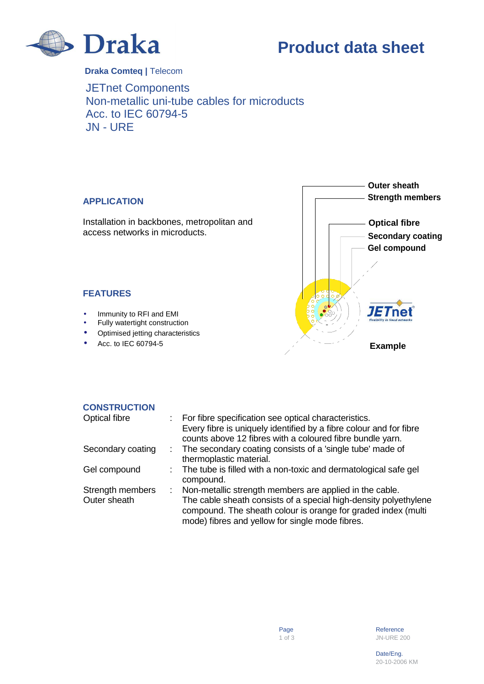

**Product data sheet** 

**Draka Comteq |** Telecom

JETnet Components Non-metallic uni-tube cables for microducts Acc. to IEC 60794-5 JN - URE

## **APPLICATION**

Installation in backbones, metropolitan and access networks in microducts.



## **FEATURES**

- Immunity to RFI and EMI
- Fully watertight construction
- Optimised jetting characteristics
- Acc. to IEC 60794-5

## **CONSTRUCTION**

| <b>Optical fibre</b> | For fibre specification see optical characteristics.                                   |
|----------------------|----------------------------------------------------------------------------------------|
|                      | Every fibre is uniquely identified by a fibre colour and for fibre                     |
|                      | counts above 12 fibres with a coloured fibre bundle yarn.                              |
| Secondary coating    | : The secondary coating consists of a 'single tube' made of<br>thermoplastic material. |
|                      |                                                                                        |
| Gel compound         | : The tube is filled with a non-toxic and dermatological safe gel<br>compound.         |
| Strength members     | Non-metallic strength members are applied in the cable.                                |
| Outer sheath         | The cable sheath consists of a special high-density polyethylene                       |
|                      | compound. The sheath colour is orange for graded index (multi                          |
|                      | mode) fibres and yellow for single mode fibres.                                        |

en die deur die begreep van die gebeure van die gebruik van die gebeure van die gebeure van die gebruik van die gebeure van die gebruik van die gebeure van die gebruik van die gebruik van die gebruik van die gebruik van di 1 of 3 JN-URE 200

the control of the control of the control of the control of the control of the control of the control of the control of the control of the control of the control of the control of the control of the control of the control 20-10-2006 KM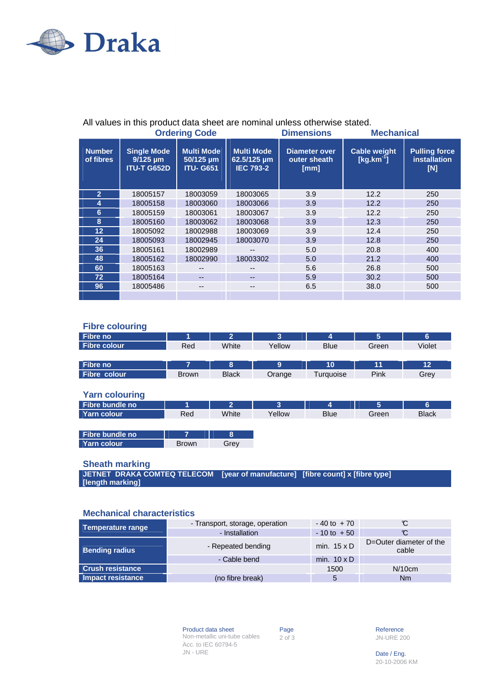

| <b>Ordering Code</b>       |                                                           |                                                    | <b>Dimensions</b>                                    | <b>Mechanical</b>                            |                                    |                                                    |
|----------------------------|-----------------------------------------------------------|----------------------------------------------------|------------------------------------------------------|----------------------------------------------|------------------------------------|----------------------------------------------------|
| <b>Number</b><br>of fibres | <b>Single Mode</b><br>$9/125 \mu m$<br><b>ITU-T G652D</b> | <b>Multi Mode</b><br>50/125 um<br><b>ITU- G651</b> | <b>Multi Mode</b><br>62.5/125 µm<br><b>IEC 793-2</b> | <b>Diameter over</b><br>outer sheath<br>[mm] | <b>Cable weight</b><br>$[kg.km-1]$ | <b>Pulling force</b><br><b>installation</b><br>[N] |
| $\overline{2}$             | 18005157                                                  | 18003059                                           | 18003065                                             | 3.9                                          | 12.2                               | 250                                                |
| 4                          | 18005158                                                  | 18003060                                           | 18003066                                             | 3.9                                          | 12.2                               | 250                                                |
| 6                          | 18005159                                                  | 18003061                                           | 18003067                                             | 3.9                                          | 12.2                               | 250                                                |
| 8                          | 18005160                                                  | 18003062                                           | 18003068                                             | 3.9                                          | 12.3                               | 250                                                |
| $12 \overline{ }$          | 18005092                                                  | 18002988                                           | 18003069                                             | 3.9                                          | 12.4                               | 250                                                |
| 24                         | 18005093                                                  | 18002945                                           | 18003070                                             | 3.9                                          | 12.8                               | 250                                                |
| 36                         | 18005161                                                  | 18002989                                           |                                                      | 5.0                                          | 20.8                               | 400                                                |
| 48                         | 18005162                                                  | 18002990                                           | 18003302                                             | 5.0                                          | 21.2                               | 400                                                |
| 60                         | 18005163                                                  | --                                                 | --                                                   | 5.6                                          | 26.8                               | 500                                                |
| 72 <sup>°</sup>            | 18005164                                                  | $- -$                                              | --                                                   | 5.9                                          | 30.2                               | 500                                                |
| 96                         | 18005486                                                  | --                                                 | --                                                   | 6.5                                          | 38.0                               | 500                                                |
|                            |                                                           |                                                    |                                                      |                                              |                                    |                                                    |

# All values in this product data sheet are nominal unless otherwise stated.

## **Fibre colouring**

| <b>Fibre no</b>     |              | 2            |        | 4           |       | 6      |
|---------------------|--------------|--------------|--------|-------------|-------|--------|
| <b>Fibre colour</b> | Red          | White        | Yellow | <b>Blue</b> | Green | Violet |
|                     |              |              |        |             |       |        |
| Fibre no            |              | 8            | 9      | 10          | 11    | 12     |
| Fibre colour        | <b>Brown</b> | <b>Black</b> | Orange | Turquoise   | Pink  | Grey   |

#### **Yarn colouring**

| .               |              |       |        |             |       |              |
|-----------------|--------------|-------|--------|-------------|-------|--------------|
| Fibre bundle no |              |       |        |             | э     |              |
| Yarn colour     | Red          | White | Yellow | <b>Blue</b> | Green | <b>Black</b> |
|                 |              |       |        |             |       |              |
| Fibre bundle no |              |       |        |             |       |              |
| Yarn colour     | <b>Brown</b> | Grev  |        |             |       |              |

## **Sheath marking**

**JETNET DRAKA COMTEQ TELECOM [year of manufacture] [fibre count] x [fibre type] [length marking]** 

#### **Mechanical characteristics**

| <b>Temperature range</b> | - Transport, storage, operation | $-40$ to $+70$     | C                                |
|--------------------------|---------------------------------|--------------------|----------------------------------|
|                          | - Installation                  | $-10$ to $+50$     | C                                |
| <b>Bending radius</b>    | - Repeated bending              | min. $15 \times D$ | D=Outer diameter of the<br>cable |
|                          | - Cable bend                    | min. $10 \times D$ |                                  |
| <b>Crush resistance</b>  |                                 | 1500               | N/10cm                           |
| Impact resistance        | (no fibre break)                |                    | Nm                               |

Product data sheet Page Reference<br>
Non-metallic uni-tube cables 2 of 3 3 JN-URE 20 2 Non-metallic uni-tube cables Acc. to IEC 60794-5  $JN$  - URE Date / Eng.

**JN-URE 200** 

20-10-2006 KM